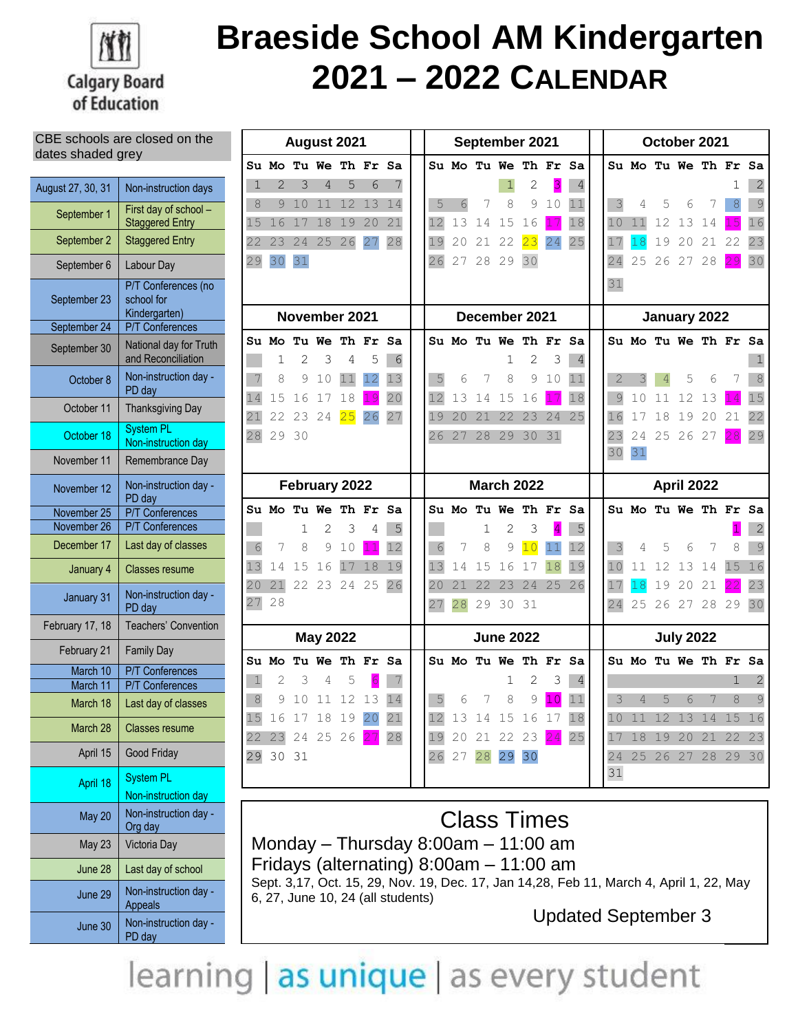

# **Braeside School AM Kindergarten 2021 – 2022 CALENDAR**

### CBE schools are closed on the dates shaded grey

| August 27, 30, 31 | Non-instruction days                               |
|-------------------|----------------------------------------------------|
| September 1       | First day of school -<br><b>Staggered Entry</b>    |
| September 2       | <b>Staggered Entry</b>                             |
| September 6       | Labour Day                                         |
| September 23      | P/T Conferences (no<br>school for<br>Kindergarten) |
| September 24      | <b>P/T Conferences</b>                             |
| September 30      | National day for Truth<br>and Reconciliation       |
| October 8         | Non-instruction day -<br>PD day                    |
| October 11        | <b>Thanksgiving Day</b>                            |
| October 18        | <b>System PL</b><br>Non-instruction day            |
| November 11       | Remembrance Day                                    |
| November 12       | Non-instruction day -<br>PD day                    |
| November 25       | <b>P/T Conferences</b>                             |
| November 26       | <b>P/T Conferences</b>                             |
| December 17       | Last day of classes                                |
| January 4         | <b>Classes resume</b>                              |
| January 31        | Non-instruction day -<br>PD day                    |
| February 17, 18   | <b>Teachers' Convention</b>                        |
| February 21       | <b>Family Day</b>                                  |
| March 10          | <b>P/T Conferences</b>                             |
| March 11          | <b>P/T Conferences</b>                             |
| March 18          | Last day of classes                                |
| March 28          | <b>Classes resume</b>                              |
| April 15          | Good Friday                                        |
| April 18          | <b>System PL</b><br>Non-instruction day            |
| May 20            | Non-instruction day<br>Org day                     |
| May 23            | Victoria Day                                       |
| June 28           | Last day of school                                 |
| June 29           | Non-instruction day -<br>Appeals                   |
| June 30           | Non-instruction day -<br>PD day                    |

|              |                          |    | August 2021     |    |                      |    | September 2021 |                   |    |                  |                      | October 2021   |                |                |                      |       |                  |       |    |                |
|--------------|--------------------------|----|-----------------|----|----------------------|----|----------------|-------------------|----|------------------|----------------------|----------------|----------------|----------------|----------------------|-------|------------------|-------|----|----------------|
|              |                          |    |                 |    | Su Mo Tu We Th Fr Sa |    |                |                   |    |                  | Su Mo Tu We Th Fr Sa |                |                |                | Su Mo Tu We Th Fr Sa |       |                  |       |    |                |
| 1            | $\overline{2}$           | 3  | 4               | 5  | 6                    | 7  |                |                   |    | $\mathbf{1}$     | 2                    | 3              | $\overline{4}$ |                |                      |       |                  |       | 1  | 2              |
| 8            | 9                        | 10 | 11              | 12 | 13                   | 14 | 5              | 6                 | 7  | 8                | 9                    | 10             | 11             | 3              | 4                    | 5     | 6                | 7     | 8  | $\overline{9}$ |
| 15           | 16                       | 17 | 18              | 19 | 20                   | 21 | 12             | 13                | 14 | 15               | 16                   |                | 18             | 10             | 11                   | 12    | 13               | 14    | 15 | 16             |
| 22           | 23                       | 24 | 25              | 26 | 27                   | 28 | 19             | 20                | 21 | 22               | 23                   | 24             | 25             | 17             | 18                   | 19    | 20               | 21 22 |    | 23             |
| 29           | 30                       | 31 |                 |    |                      |    | 26             | 27                | 28 | 29               | 30                   |                |                | 24             | 25                   | 26 27 |                  | 28    | 29 | 30             |
|              |                          |    |                 |    |                      |    |                |                   |    |                  |                      |                |                | 31             |                      |       |                  |       |    |                |
|              | November 2021            |    |                 |    |                      |    |                |                   |    | December 2021    |                      |                | January 2022   |                |                      |       |                  |       |    |                |
|              | <b>Su Mo Tu We Th Fr</b> |    |                 |    |                      | Sa |                |                   |    |                  | Su Mo Tu We Th Fr Sa |                |                |                | Su Mo Tu We Th Fr Sa |       |                  |       |    |                |
|              | 1                        | 2  | 3               | 4  | 5                    | 6  |                |                   |    | 1                | 2                    | 3              | $\overline{4}$ |                |                      |       |                  |       |    | 1              |
| 7            | 8                        | 9  | 10              | 11 | 12                   | 13 | 5              | 6                 | 7  | 8                | 9                    | 10             | 11             | $\overline{2}$ | 3                    | 4     | 5                | 6     | 7  | $\,8\,$        |
| 14           | 15                       | 16 | 17              | 18 | 19                   | 20 | 12             | 13                | 14 | 15               | 16                   | 17             | 18             | $\overline{9}$ | 10                   | 11    | 12               | 13    | 14 | 15             |
| 21           | 22                       | 23 | 24              | 25 | 26                   | 27 | 19             | 20                | 21 | 22               | 23                   | 24             | 25             | 16             | 17                   | 18    | 19               | 20    | 21 | 22             |
| 28           | 29                       | 30 |                 |    |                      |    | 26             | 27                | 28 | 29               | 30                   | 31             |                | 23             | 24                   | 25 26 |                  | 27    | 28 | 29             |
|              |                          |    |                 |    |                      |    |                |                   |    |                  |                      |                |                | 30             | 31                   |       |                  |       |    |                |
|              |                          |    | February 2022   |    |                      |    |                | <b>March 2022</b> |    |                  |                      | April 2022     |                |                |                      |       |                  |       |    |                |
|              | Su Mo Tu We              |    |                 |    | Th Fr Sa             |    |                |                   |    |                  | Su Mo Tu We Th Fr Sa |                |                |                | Su Mo Tu We Th Fr Sa |       |                  |       |    |                |
|              |                          | 1  | $\overline{2}$  | 3  | 4                    | 5  |                |                   | 1  | $\overline{2}$   | 3                    | $\overline{4}$ | 5              |                |                      |       |                  |       |    | $\overline{2}$ |
| 6            | 7                        | 8  | 9               | 10 | 11                   | 12 | 6              | 7                 | 8  | 9                | 10                   | 11             | 12             | 3              | 4                    | 5     | 6                | 7     | 8  | 9              |
| 13           | 14                       | 15 | 16              | 17 | 18                   | 19 | 13             | 14                | 15 | 16               | 17                   | 18             | 19             | 10             | 11                   | 12    | 13               | 14    | 15 | 16             |
| 20           | 21                       |    | 22 23 24 25     |    |                      | 26 | 20             | 21                | 22 | 23               | 24                   | 25             | 26             | 17             | 18                   | 19    | 20               | 21    | 22 | 23             |
| 27           | 28                       |    |                 |    |                      |    | 27             | 28                | 29 | 30               | 31                   |                |                | 24             | 25                   |       | 26 27            | 28 29 |    | 30             |
|              |                          |    | <b>May 2022</b> |    |                      |    |                |                   |    | <b>June 2022</b> |                      |                |                |                |                      |       | <b>July 2022</b> |       |    |                |
|              | Su Mo                    |    |                 |    | Tu We Th Fr Sa       |    |                |                   |    |                  | Su Mo Tu We Th Fr    |                | Sa             |                | Su Mo Tu We Th Fr Sa |       |                  |       |    |                |
| $\mathbf{1}$ | $\overline{2}$           | 3  | 4               | 5  | $\sqrt{6}$           | 7  |                |                   |    | $\mathbf 1$      | 2                    | 3              | $\overline{4}$ |                |                      |       |                  |       | 1  | 2              |
| 8            | 9                        | 10 | 11              | 12 | 13                   | 14 | 5              | 6                 | 7  | 8                | 9                    | 10             | 11             | 3              | 4                    | 5     | 6                | 7     | 8  | 9              |
| 15           | 16                       | 17 | 18              | 19 | 20                   | 21 | 12             | 13                | 14 | 15               | 16                   | 17             | 18             | 10             | 11                   | 12    | 13               | 14    | 15 | 16             |
| 22           | 23                       | 24 | 25              | 26 | 27                   | 28 | 19             | 20                | 21 | 22               | 23                   | 24             | 25             | 17             | 18                   | 19    | 20               | 21    | 22 | 23             |
| 29           | 30                       | 31 |                 |    |                      |    | 26             | 27                | 28 | 29               | 30                   |                |                | 24             | 25                   | 26    | 27               | 28    | 29 | 30             |
|              |                          |    |                 |    |                      |    |                |                   |    |                  |                      |                |                | 31             |                      |       |                  |       |    |                |

Class Times Monday – Thursday 8:00am – 11:00 am Fridays (alternating) 8:00am – 11:00 am Sept. 3,17, Oct. 15, 29, Nov. 19, Dec. 17, Jan 14,28, Feb 11, March 4, April 1, 22, May 6, 27, June 10, 24 (all students)

Updated September 3

learning as unique as every student